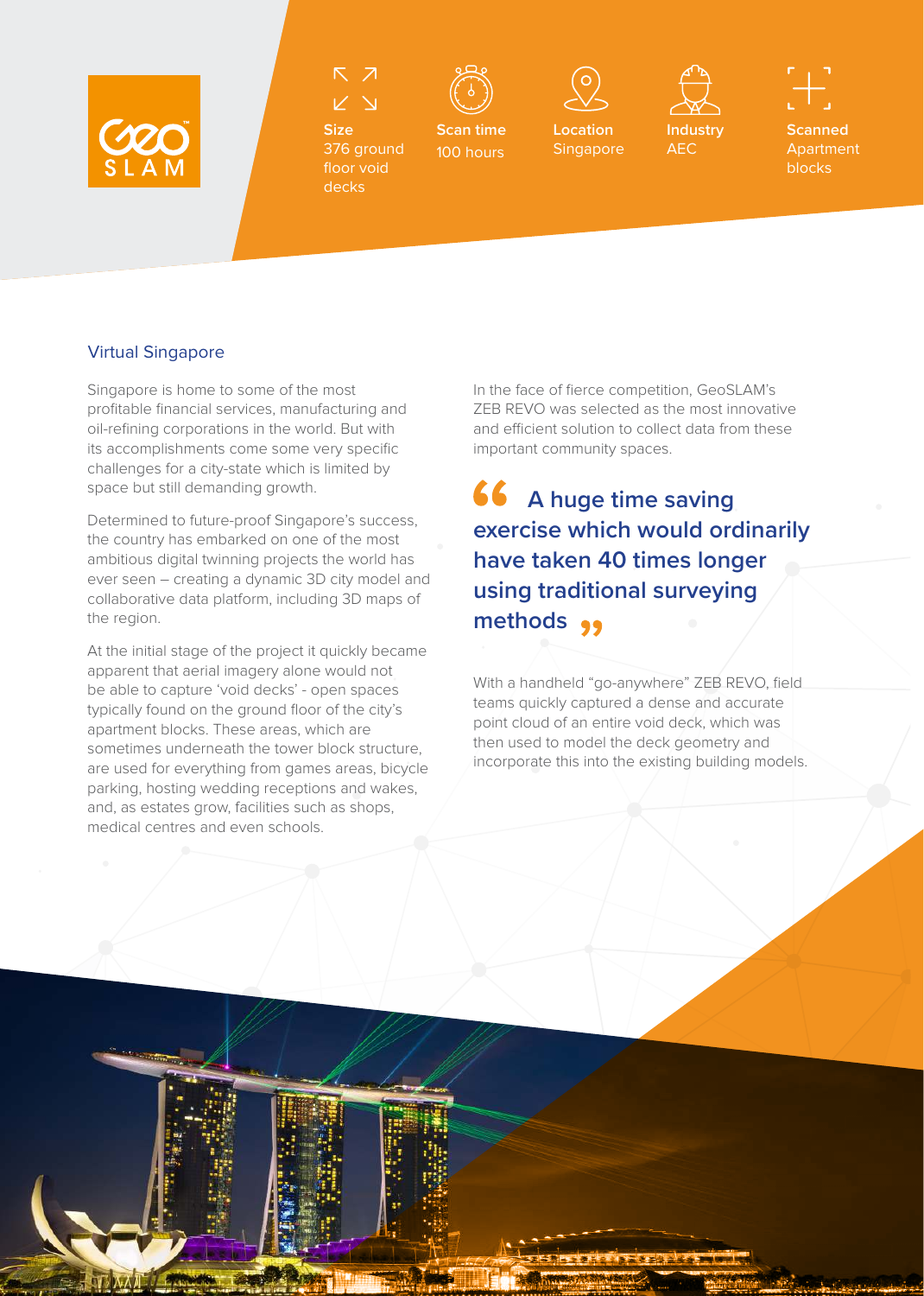









AEC

**Scanned Apartment** blocks

**Size** 376 ground floor void decks

**Scan time** 100 hours

**Location**  Singapore

## Virtual Singapore

Singapore is home to some of the most profitable financial services, manufacturing and oil-refining corporations in the world. But with its accomplishments come some very specific challenges for a city-state which is limited by space but still demanding growth.

Determined to future-proof Singapore's success, the country has embarked on one of the most ambitious digital twinning projects the world has ever seen – creating a dynamic 3D city model and collaborative data platform, including 3D maps of the region.

At the initial stage of the project it quickly became apparent that aerial imagery alone would not be able to capture 'void decks' - open spaces typically found on the ground floor of the city's apartment blocks. These areas, which are sometimes underneath the tower block structure, are used for everything from games areas, bicycle parking, hosting wedding receptions and wakes, and, as estates grow, facilities such as shops, medical centres and even schools.

In the face of fierce competition, GeoSLAM's ZEB REVO was selected as the most innovative and efficient solution to collect data from these important community spaces.

 **A huge time saving exercise which would ordinarily have taken 40 times longer using traditional surveying methods** 

With a handheld "go-anywhere" ZEB REVO, field teams quickly captured a dense and accurate point cloud of an entire void deck, which was then used to model the deck geometry and incorporate this into the existing building models.